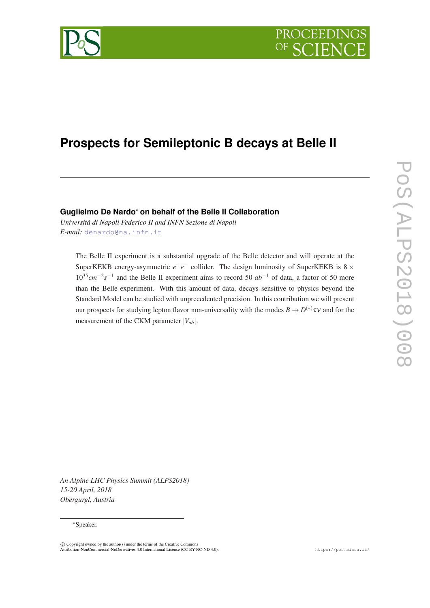



# **Prospects for Semileptonic B decays at Belle II**

## **Guglielmo De Nardo**<sup>∗</sup> **on behalf of the Belle II Collaboration**

*Universitá di Napoli Federico II and INFN Sezione di Napoli E-mail:* [denardo@na.infn.it](mailto:denardo@na.infn.it)

The Belle II experiment is a substantial upgrade of the Belle detector and will operate at the SuperKEKB energy-asymmetric  $e^+e^-$  collider. The design luminosity of SuperKEKB is  $8 \times$ 10<sup>35</sup>cm<sup>−2</sup>s<sup>-1</sup> and the Belle II experiment aims to record 50 *ab*<sup>-1</sup> of data, a factor of 50 more than the Belle experiment. With this amount of data, decays sensitive to physics beyond the Standard Model can be studied with unprecedented precision. In this contribution we will present our prospects for studying lepton flavor non-universality with the modes  $B \to D^{(*)} \tau \nu$  and for the measurement of the CKM parameter  $|V_{ub}|$ .

*An Alpine LHC Physics Summit (ALPS2018) 15-20 April, 2018 Obergurgl, Austria*

#### ∗Speaker.

c Copyright owned by the author(s) under the terms of the Creative Commons Attribution-NonCommercial-NoDerivatives 4.0 International License (CC BY-NC-ND 4.0). https://pos.sissa.it/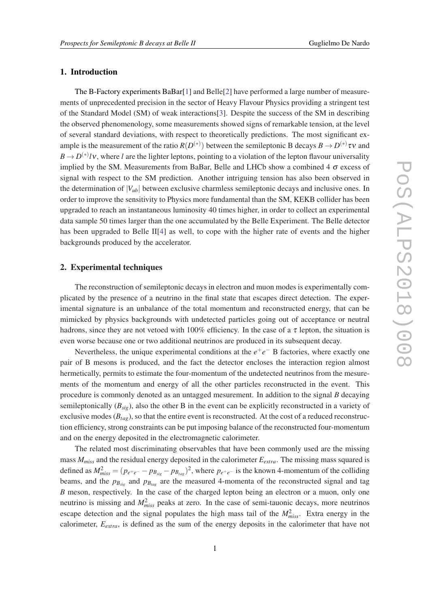#### 1. Introduction

The B-Factory experiments BaBar[\[1\]](#page-6-0) and Belle[\[2\]](#page-6-0) have performed a large number of measurements of unprecedented precision in the sector of Heavy Flavour Physics providing a stringent test of the Standard Model (SM) of weak interactions[[3](#page-6-0)]. Despite the success of the SM in describing the observed phenomenology, some measurements showed signs of remarkable tension, at the level of several standard deviations, with respect to theoretically predictions. The most significant example is the measurement of the ratio  $R(D^{(*)})$  between the semileptonic B decays  $B \to D^{(*)} \tau v$  and  $B \to D^{(*)}/V$ , where *l* are the lighter leptons, pointing to a violation of the lepton flavour universality implied by the SM. Measurements from BaBar, Belle and LHCb show a combined 4  $\sigma$  excess of signal with respect to the SM prediction. Another intriguing tension has also been observed in the determination of  $|V_{\mu b}|$  between exclusive charmless semileptonic decays and inclusive ones. In order to improve the sensitivity to Physics more fundamental than the SM, KEKB collider has been upgraded to reach an instantaneous luminosity 40 times higher, in order to collect an experimental data sample 50 times larger than the one accumulated by the Belle Experiment. The Belle detector has been upgraded to Belle II<sup>[\[4\]](#page-6-0)</sup> as well, to cope with the higher rate of events and the higher backgrounds produced by the accelerator.

#### 2. Experimental techniques

The reconstruction of semileptonic decays in electron and muon modes is experimentally complicated by the presence of a neutrino in the final state that escapes direct detection. The experimental signature is an unbalance of the total momentum and reconstructed energy, that can be mimicked by physics backgrounds with undetected particles going out of acceptance or neutral hadrons, since they are not vetoed with 100% efficiency. In the case of a  $\tau$  lepton, the situation is even worse because one or two additional neutrinos are produced in its subsequent decay.

Nevertheless, the unique experimental conditions at the  $e^+e^-$  B factories, where exactly one pair of B mesons is produced, and the fact the detector encloses the interaction region almost hermetically, permits to estimate the four-momentum of the undetected neutrinos from the mesurements of the momentum and energy of all the other particles reconstructed in the event. This procedure is commonly denoted as an untagged mesurement. In addition to the signal *B* decaying semileptonically (*Bsig*), also the other B in the event can be explicitly reconstructed in a variety of exclusive modes  $(B<sub>tag</sub>)$ , so that the entire event is reconstructed. At the cost of a reduced reconstruction efficiency, strong constraints can be put imposing balance of the reconstructed four-momentum and on the energy deposited in the electromagnetic calorimeter.

The related most discriminating observables that have been commonly used are the missing mass *Mmiss* and the residual energy deposited in the calorimeter *Eextra*. The missing mass squared is defined as  $M_{miss}^2 = (p_{e^+e^-} - p_{B_{sig}} - p_{B_{tag}})^2$ , where  $p_{e^+e^-}$  is the known 4-momentum of the colliding beams, and the  $p_{B_{sig}}$  and  $p_{B_{tag}}$  are the measured 4-momenta of the reconstructed signal and tag *B* meson, respectively. In the case of the charged lepton being an electron or a muon, only one neutrino is missing and  $M<sub>miss</sub><sup>2</sup>$  peaks at zero. In the case of semi-tauonic decays, more neutrinos escape detection and the signal populates the high mass tail of the  $M<sub>miss</sub><sup>2</sup>$ . Extra energy in the calorimeter, *Eextra*, is defined as the sum of the energy deposits in the calorimeter that have not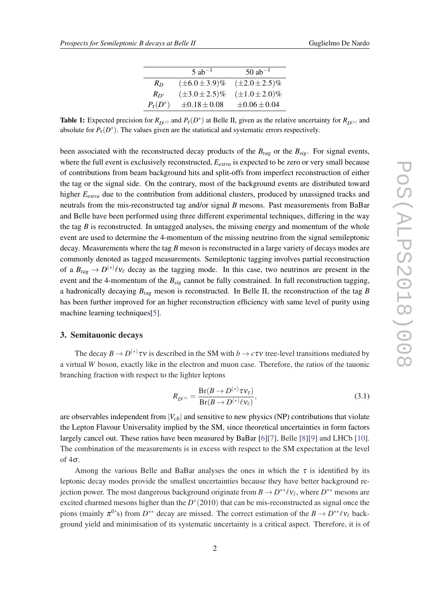|               | $5$ ab <sup>-1</sup>  | $50$ ab <sup>-1</sup> |  |  |
|---------------|-----------------------|-----------------------|--|--|
| $R_D$         | $(\pm 6.0 \pm 3.9)\%$ | $(\pm 2.0 \pm 2.5)\%$ |  |  |
| $R_{D^*}$     | $(\pm 3.0 \pm 2.5)\%$ | $(\pm 1.0 \pm 2.0)\%$ |  |  |
| $P_\tau(D^*)$ | $\pm 0.18 \pm 0.08$   | $\pm 0.06 \pm 0.04$   |  |  |

<span id="page-2-0"></span>**Table 1:** Expected precision for  $R_{D^{(*)}}$  and  $P_{\tau}(D^*)$  at Belle II, given as the relative uncertainty for  $R_{D^{(*)}}$  and absolute for  $P_{\tau}(D^*)$ . The values given are the statistical and systematic errors respectively.

been associated with the reconstructed decay products of the  $B_{tag}$  or the  $B_{sig}$ . For signal events, where the full event is exclusively reconstructed,  $E_{extra}$  is expected to be zero or very small because of contributions from beam background hits and split-offs from imperfect reconstruction of either the tag or the signal side. On the contrary, most of the background events are distributed toward higher  $E_{extra}$  due to the contribution from additional clusters, produced by unassigned tracks and neutrals from the mis-reconstructed tag and/or signal *B* mesons. Past measurements from BaBar and Belle have been performed using three different experimental techniques, differing in the way the tag  $B$  is reconstructed. In untagged analyses, the missing energy and momentum of the whole event are used to determine the 4-momentum of the missing neutrino from the signal semileptonic decay. Measurements where the tag *B* meson is reconstructed in a large variety of decays modes are commonly denoted as tagged measurements. Semileptonic tagging involves partial reconstruction of a  $B_{tag} \to D^{(*)}\ell v_{\ell}$  decay as the tagging mode. In this case, two neutrinos are present in the event and the 4-momentum of the *Bsig* cannot be fully constrained. In full reconstruction tagging, a hadronically decaying *Btag* meson is reconstructed. In Belle II, the reconstruction of the tag *B* has been further improved for an higher reconstruction efficiency with same level of purity using machine learning techniques<sup>[[5](#page-6-0)]</sup>.

## 3. Semitauonic decays

The decay  $B \to D^{(*)}\tau v$  is described in the SM with  $b \to c\tau v$  tree-level transitions mediated by a virtual *W* boson, exactly like in the electron and muon case. Therefore, the ratios of the tauonic branching fraction with respect to the lighter leptons

$$
R_{D^{(*)}} = \frac{\text{Br}(B \to D^{(*)}\tau \nu_{\tau})}{\text{Br}(B \to D^{(*)}\ell \nu_{\ell})},\tag{3.1}
$$

are observables independent from  $|V_{cb}|$  and sensitive to new physics (NP) contributions that violate the Lepton Flavour Universality implied by the SM, since theoretical uncertainties in form factors largely cancel out. These ratios have been measured by BaBar [\[6\]\[7](#page-6-0)], Belle [[8](#page-6-0)][[9](#page-6-0)] and LHCb [[10\]](#page-7-0). The combination of the measurements is in excess with respect to the SM expectation at the level of  $4\sigma$ .

Among the various Belle and BaBar analyses the ones in which the  $\tau$  is identified by its leptonic decay modes provide the smallest uncertainties because they have better background rejection power. The most dangerous background originate from  $B \to D^{**}\ell\nu_\ell$ , where  $D^{**}$  mesons are excited charmed mesons higher than the  $D^*(2010)$  that can be mis-reconstructed as signal once the pions (mainly  $\pi^{0,s}$ ) from  $D^{**}$  decay are missed. The correct estimation of the  $B \to D^{**}\ell\nu_{\ell}$  background yield and minimisation of its systematic uncertainty is a critical aspect. Therefore, it is of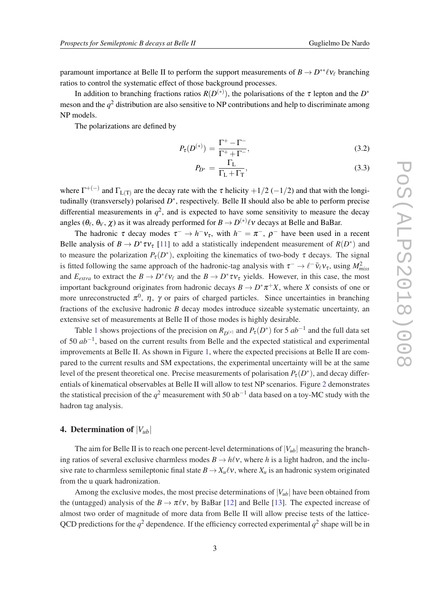paramount importance at Belle II to perform the support measurements of  $B \to D^{**}\ell\nu_\ell$  branching ratios to control the systematic effect of those background processes.

In addition to branching fractions ratios  $R(D^{(*)})$ , the polarisations of the  $\tau$  lepton and the  $D^*$ meson and the  $q^2$  distribution are also sensitive to NP contributions and help to discriminate among NP models.

The polarizations are defined by

$$
P_{\tau}(D^{(*)}) = \frac{\Gamma^{+} - \Gamma^{-}}{\Gamma^{+} + \Gamma^{-}},
$$
\n(3.2)

$$
P_{D^*} = \frac{\Gamma_L}{\Gamma_L + \Gamma_T},\tag{3.3}
$$

where  $\Gamma^{+(-)}$  and  $\Gamma_{L(T)}$  are the decay rate with the  $\tau$  helicity  $+1/2$  (-1/2) and that with the longitudinally (transversely) polarised *D*<sup>∗</sup>, respectively. Belle II should also be able to perform precise differential measurements in  $q^2$ , and is expected to have some sensitivity to measure the decay angles  $(\theta_\ell, \theta_V, \chi)$  as it was already performed for  $B \to D^{(*)} \ell \nu$  decays at Belle and BaBar.

The hadronic  $\tau$  decay modes  $\tau^- \to h^-v_\tau$ , with  $h^- = \pi^-$ ,  $\rho^-$  have been used in a recent Belle analysis of  $B \to D^* \tau v_{\tau}$  [\[11](#page-7-0)] to add a statistically independent measurement of  $R(D^*)$  and to measure the polarization  $P_{\tau}(D^*)$ , exploiting the kinematics of two-body  $\tau$  decays. The signal is fitted following the same approach of the hadronic-tag analysis with  $\tau^- \to \ell^- \bar{\nu}_{\ell} \nu_{\tau}$ , using  $M^2_{miss}$ and  $E_{extra}$  to extract the  $B \to D^* \ell \nu_\ell$  and the  $B \to D^* \tau \nu_\tau$  yields. However, in this case, the most important background originates from hadronic decays  $B \to D^*\pi^+X$ , where *X* consists of one or more unreconstructed  $\pi^0$ ,  $\eta$ ,  $\gamma$  or pairs of charged particles. Since uncertainties in branching fractions of the exclusive hadronic *B* decay modes introduce sizeable systematic uncertainty, an extensive set of measurements at Belle II of those modes is highly desirable.

Table [1](#page-2-0) shows projections of the precision on  $R_{D^{(*)}}$  and  $P_{\tau}(D^*)$  for 5  $ab^{-1}$  and the full data set of 50 *ab*−<sup>1</sup> , based on the current results from Belle and the expected statistical and experimental improvements at Belle II. As shown in Figure [1](#page-4-0), where the expected precisions at Belle II are compared to the current results and SM expectations, the experimental uncertainty will be at the same level of the present theoretical one. Precise measurements of polarisation  $P_\tau(D^*)$ , and decay differentials of kinematical observables at Belle II will allow to test NP scenarios. Figure [2](#page-4-0) demonstrates the statistical precision of the  $q^2$  measurement with 50 ab<sup>-1</sup> data based on a toy-MC study with the hadron tag analysis.

## 4. Determination of  $|V_{ub}|$

The aim for Belle II is to reach one percent-level determinations of  $|V_{ub}|$  measuring the branching ratios of several exclusive charmless modes  $B \to h\ell v$ , where *h* is a light hadron, and the inclusive rate to charmless semileptonic final state  $B \to X_u \ell v$ , where  $X_u$  is an hadronic system originated from the u quark hadronization.

Among the exclusive modes, the most precise determinations of  $|V_{ub}|$  have been obtained from the (untagged) analysis of the  $B \to \pi \ell \nu$ , by BaBar [\[12](#page-7-0)] and Belle [[13\]](#page-7-0). The expected increase of almost two order of magnitude of more data from Belle II will allow precise tests of the lattice-QCD predictions for the  $q^2$  dependence. If the efficiency corrected experimental  $q^2$  shape will be in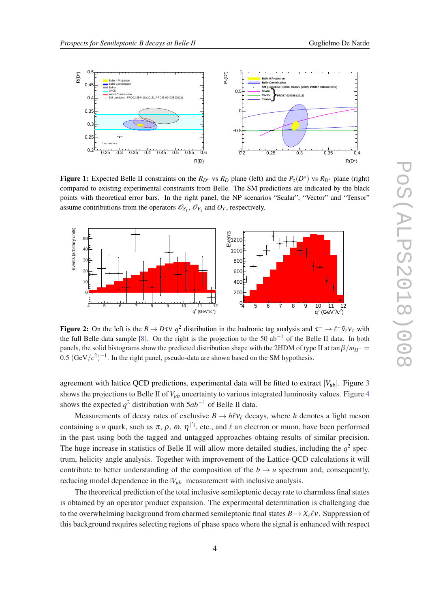

<span id="page-4-0"></span>

Figure 1: Expected Belle II constraints on the  $R_{D^*}$  vs  $R_D$  plane (left) and the  $P_\tau(D^*)$  vs  $R_{D^*}$  plane (right) compared to existing experimental constraints from Belle. The SM predictions are indicated by the black points with theoretical error bars. In the right panel, the NP scenarios "Scalar", "Vector" and "Tensor" assume contributions from the operators  $\mathcal{O}_{S_1}$ ,  $\mathcal{O}_{V_1}$  and  $O_T$ , respectively.



**Figure 2:** On the left is the  $B \to D\tau v$   $q^2$  distribution in the hadronic tag analysis and  $\tau^- \to \ell^- \bar{v}_{\ell} v_{\tau}$  with the full Belle data sample [\[8](#page-6-0)]. On the right is the projection to the 50 ab<sup>-1</sup> of the Belle II data. In both panels, the solid histograms show the predicted distribution shape with the 2HDM of type II at tan  $\beta/m_{H^{\pm}} =$  $0.5 \, (\text{GeV}/c^2)^{-1}$ . In the right panel, pseudo-data are shown based on the SM hypothesis.

agreement with lattice QCD predictions, experimental data will be fitted to extract  $|V_{ub}|$ . Figure [3](#page-5-0) shows the projections to Belle II of  $V_{ub}$  uncertainty to various integrated luminosity values. Figure [4](#page-5-0) shows the expected *q* <sup>2</sup> distribution with 5*ab*−<sup>1</sup> of Belle II data.

Measurements of decay rates of exclusive  $B \to h\ell\nu_{\ell}$  decays, where *h* denotes a light meson containing a *u* quark, such as  $\pi$ ,  $\rho$ ,  $\omega$ ,  $\eta$ <sup>(')</sup>, etc., and  $\ell$  an electron or muon, have been performed in the past using both the tagged and untagged approaches obtaing results of similar precision. The huge increase in statistics of Belle II will allow more detailed studies, including the  $q^2$  spectrum, helicity angle analysis. Together with improvement of the Lattice-QCD calculations it will contribute to better understanding of the composition of the  $b \rightarrow u$  spectrum and, consequently, reducing model dependence in the  $|V_{ub}|$  measurement with inclusive analysis.

The theoretical prediction of the total inclusive semileptonic decay rate to charmless final states is obtained by an operator product expansion. The experimental determination is challenging due to the overwhelming background from charmed semileptonic final states  $B \to X_c \ell v$ . Suppression of this background requires selecting regions of phase space where the signal is enhanced with respect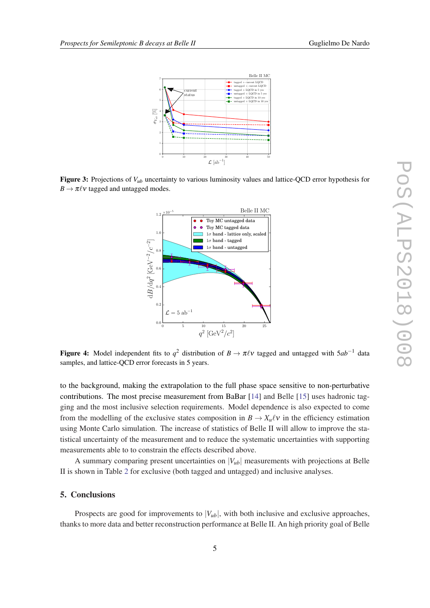<span id="page-5-0"></span>

Figure 3: Projections of  $V_{ub}$  uncertainty to various luminosity values and lattice-QCD error hypothesis for  $B \to \pi \ell \nu$  tagged and untagged modes.



Figure 4: Model independent fits to  $q^2$  distribution of  $B \to \pi \ell \nu$  tagged and untagged with  $5ab^{-1}$  data samples, and lattice-QCD error forecasts in 5 years.

to the background, making the extrapolation to the full phase space sensitive to non-perturbative contributions. The most precise measurement from BaBar [\[14](#page-7-0)] and Belle [[15\]](#page-7-0) uses hadronic tagging and the most inclusive selection requirements. Model dependence is also expected to come from the modelling of the exclusive states composition in  $B \to X_u \ell v$  in the efficiency estimation using Monte Carlo simulation. The increase of statistics of Belle II will allow to improve the statistical uncertainty of the measurement and to reduce the systematic uncertainties with supporting measurements able to to constrain the effects described above.

A summary comparing present uncertainties on  $|V_{ub}|$  measurements with projections at Belle II is shown in Table [2](#page-6-0) for exclusive (both tagged and untagged) and inclusive analyses.

#### 5. Conclusions

Prospects are good for improvements to  $|V_{ub}|$ , with both inclusive and exclusive approaches, thanks to more data and better reconstruction performance at Belle II. An high priority goal of Belle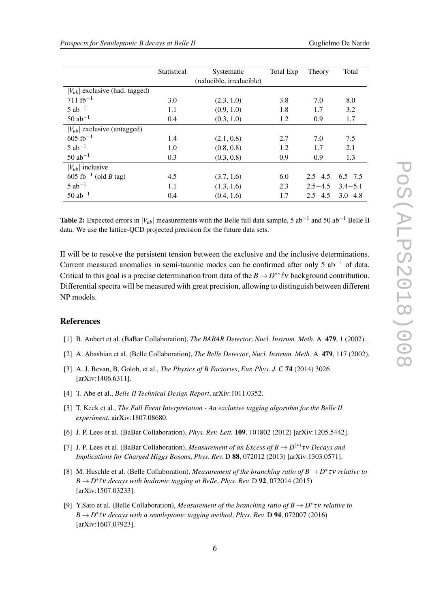<span id="page-6-0"></span>

|                                           | Statistical | Systematic               | Total Exp | Theory      | Total       |
|-------------------------------------------|-------------|--------------------------|-----------|-------------|-------------|
|                                           |             | (reducible, irreducible) |           |             |             |
| $ V_{ub} $ exclusive (had. tagged)        |             |                          |           |             |             |
| $711 fb^{-1}$                             | 3.0         | (2.3, 1.0)               | 3.8       | 7.0         | 8.0         |
| $5$ ab <sup>-1</sup>                      | 1.1         | (0.9, 1.0)               | 1.8       | 1.7         | 3.2         |
| $50$ ab <sup>-1</sup>                     | 0.4         | (0.3, 1.0)               | 1.2       | 0.9         | 1.7         |
| $ V_{ub} $ exclusive (untagged)           |             |                          |           |             |             |
| $605$ fb <sup>-1</sup>                    | 1.4         | (2.1, 0.8)               | 2.7       | 7.0         | 7.5         |
| $5$ ab <sup>-1</sup>                      | 1.0         | (0.8, 0.8)               | 1.2       | 1.7         | 2.1         |
| $50$ ab <sup>-1</sup>                     | 0.3         | (0.3, 0.8)               | 0.9       | 0.9         | 1.3         |
| $ V_{ub} $ inclusive                      |             |                          |           |             |             |
| $605$ fb <sup>-1</sup> (old <i>B</i> tag) | 4.5         | (3.7, 1.6)               | 6.0       | $2.5 - 4.5$ | $6.5 - 7.5$ |
| $5$ ab <sup>-1</sup>                      | 1.1         | (1.3, 1.6)               | 2.3       | $2.5 - 4.5$ | $3.4 - 5.1$ |
| $50$ ab <sup>-1</sup>                     | 0.4         | (0.4, 1.6)               | 1.7       | $2.5 - 4.5$ | $3.0 - 4.8$ |

Table 2: Expected errors in  $|V_{ub}|$  measurements with the Belle full data sample, 5 ab<sup>-1</sup> and 50 ab<sup>-1</sup> Belle II data. We use the lattice-QCD projected precision for the future data sets.

II will be to resolve the persistent tension between the exclusive and the inclusive determinations. Current measured anomalies in semi-tauonic modes can be confirmed after only 5  $ab^{-1}$  of data. Critical to this goal is a precise determination from data of the  $B \to D^{**}\ell\nu$  background contribution. Differential spectra will be measured with great precision, allowing to distinguish between different NP models.

### References

- [1] B. Aubert et al. (BaBar Collaboration), *The BABAR Detector*, *Nucl. Instrum. Meth.* A 479, 1 (2002) .
- [2] A. Abashian et al. (Belle Collaboration), *The Belle Detector*, *Nucl. Instrum. Meth.* A 479, 117 (2002).
- [3] A. J. Bevan, B. Golob, et al., *The Physics of B Factories*, *Eur. Phys. J.* C 74 (2014) 3026 [arXiv:1406.6311].
- [4] T. Abe et al., *Belle II Technical Design Report*, arXiv:1011.0352.
- [5] T. Keck et al., *The Full Event Interpretation An exclusive tagging algorithm for the Belle II experiment*, airXiv:1807.08680.
- [6] J. P. Lees et al. (BaBar Collaboration), *Phys. Rev. Lett.* 109, 101802 (2012) [arXiv:1205.5442].
- [7] J. P. Lees et al. (BaBar Collaboration), *Measurement of an Excess of B*  $\rightarrow$  *D*<sup>(\*)</sup> *τv Decays and Implications for Charged Higgs Bosons*, *Phys. Rev.* D 88, 072012 (2013) [arXiv:1303.0571].
- [8] M. Huschle et al. (Belle Collaboration), *Measurement of the branching ratio of B* → *D* ∗ τν *relative to*  $B \to D^* \ell \nu$  *decays with hadronic tagging at Belle, Phys. Rev.* D **92**, 072014 (2015) [arXiv:1507.03233].
- [9] Y.Sato et al. (Belle Collaboration), *Measurement of the branching ratio of B* → *D* ∗ τν *relative to B* → *D*<sup>\*</sup>  $\ell$ v *decays with a semileptonic tagging method, Phys. Rev.* D **94**, 072007 (2016) [arXiv:1607.07923].